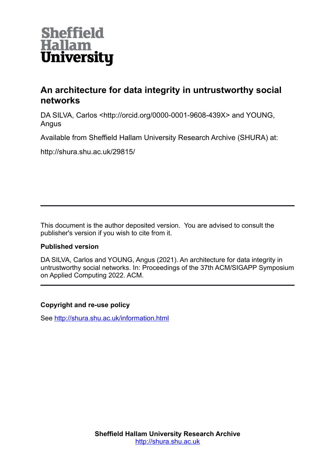

# **An architecture for data integrity in untrustworthy social networks**

DA SILVA, Carlos <http://orcid.org/0000-0001-9608-439X> and YOUNG, Angus

Available from Sheffield Hallam University Research Archive (SHURA) at:

http://shura.shu.ac.uk/29815/

This document is the author deposited version. You are advised to consult the publisher's version if you wish to cite from it.

# **Published version**

DA SILVA, Carlos and YOUNG, Angus (2021). An architecture for data integrity in untrustworthy social networks. In: Proceedings of the 37th ACM/SIGAPP Symposium on Applied Computing 2022. ACM.

# **Copyright and re-use policy**

See<http://shura.shu.ac.uk/information.html>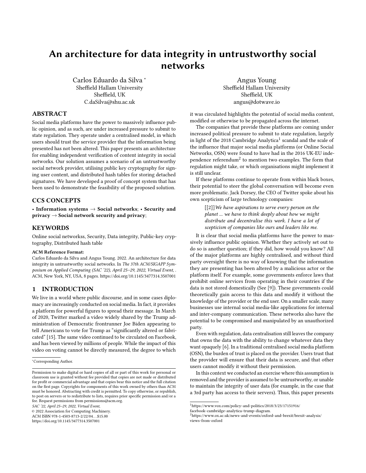# An architecture for data integrity in untrustworthy social networks

Carlos Eduardo da Silva <sup>∗</sup> Sheffield Hallam University Sheffield, UK C.daSilva@shu.ac.uk

Angus Young Sheffield Hallam University Sheffield, UK angus@dotwave.io

## ABSTRACT

Social media platforms have the power to massively influence public opinion, and as such, are under increased pressure to submit to state regulation. They operate under a centralised model, in which users should trust the service provider that the information being presented has not been altered. This paper presents an architecture for enabling independent verification of content integrity in social networks. Our solution assumes a scenario of an untrustworthy social network provider, utilising public key cryptography for signing user content, and distributed hash tables for storing detached signatures. We have developed a proof of concept system that has been used to demonstrate the feasibility of the proposed solution.

# CCS CONCEPTS

• Information systems  $\rightarrow$  Social networks; • Security and privacy  $\rightarrow$  Social network security and privacy;

## **KEYWORDS**

Online social networkss, Security, Data integrity, Public-key cryptography, Distributed hash table

#### ACM Reference Format:

Carlos Eduardo da Silva and Angus Young. 2022. An architecture for data integrity in untrustworthy social networks. In The 37th ACM/SIGAPP Symposium on Applied Computing (SAC '22), April 25–29, 2022, Virtual Event, . ACM, New York, NY, USA, [8](#page-8-0) pages.<https://doi.org/10.1145/3477314.3507001>

# 1 INTRODUCTION

We live in a world where public discourse, and in some cases diplomacy are increasingly conducted on social media. In fact, it provides a platform for powerful figures to spread their message. In March of 2020, Twitter marked a video widely shared by the Trump administration of Democratic frontrunner Joe Biden appearing to tell Americans to vote for Trump as "significantly altered or fabricated" [\[15\]](#page-8-1). The same video continued to be circulated on Facebook, and has been viewed by millions of people. While the impact of this video on voting cannot be directly measured, the degree to which

SAC '22, April 25–29, 2022, Virtual Event,

© 2022 Association for Computing Machinery.

ACM ISBN 978-1-4503-8713-2/22/04...\$15.00

<https://doi.org/10.1145/3477314.3507001>

it was circulated highlights the potential of social media content, modified or otherwise to be propagated across the internet.

The companies that provide these platforms are coming under increased political pressure to submit to state regulation, largely in light of the 20[1](#page-1-0)8 Cambridge Analytica<sup>1</sup> scandal and the scale of the influence that major social media platforms (or Online Social Networks, OSN) were found to have had in the 2016 UK-EU independence referendum $^2$  $^2$  to mention two examples. The form that regulation might take, or which organisations might implement it is still unclear.

If these platforms continue to operate from within black boxes, their potential to steer the global conversation will become even more problematic. Jack Dorsey, the CEO of Twitter spoke about his own scepticism of large technology companies:

> $[[2]]$  $[[2]]$  $[[2]]$  We have aspirations to serve every person on the planet ... we have to think deeply about how we might distribute and decentralise this work. I have a lot of scepticism of companies like ours and leaders like me.

It is clear that social media platforms have the power to massively influence public opinion. Whether they actively set out to do so is another question; if they did, how would you know? All of the major platforms are highly centralised, and without third party oversight there is no way of knowing that the information they are presenting has been altered by a malicious actor or the platform itself. For example, some governments enforce laws that prohibit online services from operating in their countries if the data is not stored domestically (See [\[9\]](#page-8-3)). These governments could theoretically gain access to this data and modify it without the knowledge of the provider or the end user. On a smaller scale, many businesses use internal social media-like applications for internal and inter-company communication. These networks also have the potential to be compromised and manipulated by an unauthorized party.

Even with regulation, data centralisation still leaves the company that owns the data with the ability to change whatever data they want opaquely [\[6\]](#page-8-4). In a traditional centralised social media platform (OSN), the burden of trust is placed on the provider. Users trust that the provider will ensure that their data is secure, and that other users cannot modify it without their permission.

In this context we conducted an exercise where this assumption is removed and the provider is assumed to be untrustworthy, or unable to maintain the integrity of user data (for example, in the case that a 3rd party has access to their servers). Thus, this paper presents

<sup>∗</sup>Corresponding Author.

Permission to make digital or hard copies of all or part of this work for personal or classroom use is granted without fee provided that copies are not made or distributed for profit or commercial advantage and that copies bear this notice and the full citation on the first page. Copyrights for components of this work owned by others than ACM must be honored. Abstracting with credit is permitted. To copy otherwise, or republish, to post on servers or to redistribute to lists, requires prior specific permission and/or a fee. Request permissions from permissions@acm.org.

<span id="page-1-0"></span><sup>1</sup>[https://www.vox.com/policy-and-politics/2018/3/23/17151916/](https://www.vox.com/policy-and-politics/2018/3/23/17151916/facebook-cambridge-analytica-trump-diagram.)

[facebook-cambridge-analytica-trump-diagram.](https://www.vox.com/policy-and-politics/2018/3/23/17151916/facebook-cambridge-analytica-trump-diagram.)

<span id="page-1-1"></span><sup>2</sup>[https://www.ox.ac.uk/news-and-events/oxford-and-brexit/brexit-analysis/](https://www.ox.ac.uk/news-and-events/oxford-and-brexit/brexit-analysis/views-from-oxford) [views-from-oxford](https://www.ox.ac.uk/news-and-events/oxford-and-brexit/brexit-analysis/views-from-oxford)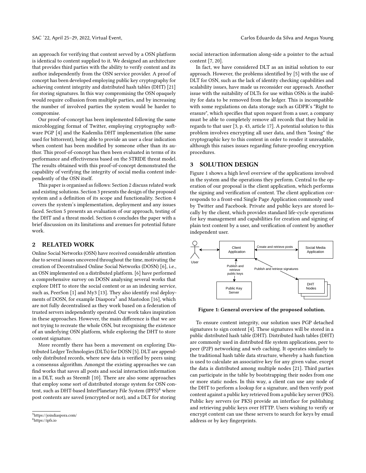an approach for verifying that content served by a OSN platform is identical to content supplied to it. We designed an architecture that provides third parties with the ability to verify content and its author independently from the OSN service provider. A proof of concept has been developed employing public key cryptography for achieving content integrity and distributed hash tables (DHT) [\[21\]](#page-8-5) for storing signatures. In this way compromising the OSN opaquely would require collusion from multiple parties, and by increasing the number of involved parties the system would be harder to compromise.

Our proof-of-concept has been implemented following the same microblogging format of Twitter, employing cryptography software PGP [\[4\]](#page-8-6) and the Kademlia DHT implementation (the same used for bittorrent), being able to provide an user a clear indication when content has been modified by someone other than its author. This proof-of-concept has then been evaluated in terms of its performance and effectiveness based on the STRIDE threat model. The results obtained with this proof-of-concept demonstrated the capability of verifying the integrity of social media content independently of the OSN itself.

This paper is organised as follows: Section [2](#page-2-0) discuss related work and existing solutions. Section [3](#page-2-1) presents the design of the proposed system and a definition of its scope and functionality. Section [4](#page-3-0) covers the system's implementation, deployment and any issues faced. Section [5](#page-5-0) presents an evaluation of our approach, testing of the DHT and a threat model. Section [6](#page-8-7) concludes the paper with a brief discussion on its limitations and avenues for potential future work.

#### <span id="page-2-0"></span>2 RELATED WORK

Online Social Networks (OSN) have received considerable attention due to several issues uncovered throughout the time, motivating the creation of Decentralised Online Social Networks (DOSN) [\[6\]](#page-8-4), i.e., an OSN implemented on a distributed platform. [\[6\]](#page-8-4) have performed a comprehensive survey on DOSN analysing several works that explore DHT to store the social content or as an indexing service, such as, PeerSon [\[1\]](#page-8-8) and My3 [\[13\]](#page-8-9). They also identify real deploy-ments of DOSN, for example Diaspora<sup>[3](#page-2-2)</sup> and Mastodon [\[16\]](#page-8-10), which are not fully decentralised as they work based on a federation of trusted servers independently operated. Our work takes inspiration in these approaches. However, the main difference is that we are not trying to recreate the whole OSN, but recognising the existence of an underlying OSN platform, while exploring the DHT to store content signature.

More recently there has been a movement on exploring Distributed Ledger Technologies (DLTs) for DOSN [\[5\]](#page-8-11). DLT are appendonly distributed records, where new data is verified by peers using a consensus algorithm. Amongst the existing approaches we can find works that saves all posts and social interaction information in a DLT, such as SteemIt [\[10\]](#page-8-12). There are also some approaches that employ some sort of distributed storage system for OSN content, such as DHT-based InterPlanetary File System  $(IPFS)^4$  $(IPFS)^4$  where post contents are saved (encrypted or not), and a DLT for storing

social interaction information along-side a pointer to the actual content [\[7,](#page-8-13) [20\]](#page-8-14).

In fact, we have considered DLT as an initial solution to our approach. However, the problems identified by [\[5\]](#page-8-11) with the use of DLT for OSN, such as the lack of identity checking capabilities and scalability issues, have made us reconsider our approach. Another issue with the suitability of DLTs for use within OSNs is the inability for data to be removed from the ledger. This is incompatible with some regulations on data storage such as GDPR's "Right to erasure", which specifies that upon request from a user, a company must be able to completely remove all records that they hold in regards to that user [\[3,](#page-8-15) p. 43, article 17]. A potential solution to this problem involves encrypting all user data, and then "losing" the cryptographic key to this content in order to render it unreadable, although this raises issues regarding future-proofing encryption procedures.

# <span id="page-2-1"></span>3 SOLUTION DESIGN

Figure [1](#page-2-4) shows a high level overview of the applications involved in the system and the operations they perform. Central to the operation of our proposal is the client application, which performs the signing and verification of content. The client application corresponds to a front-end Single Page Application commonly used by Twitter and Facebook. Private and public keys are stored locally by the client, which provides standard life-cycle operations for key management and capabilities for creation and signing of plain text content by a user, and verification of content by another independent user.

<span id="page-2-4"></span>

Figure 1: General overview of the proposed solution.

To ensure content integrity, our solution uses PGP detached signatures to sign content [\[4\]](#page-8-6). These signatures will be stored in a public distributed hash table (DHT). Distributed hash tables (DHT) are commonly used in distributed file system applications, peer to peer (P2P) networking and web caching. It operates similarly to the traditional hash table data structure, whereby a hash function is used to calculate an associative key for any given value, except the data is distributed among multiple nodes [\[21\]](#page-8-5). Third parties can participate in the table by bootstrapping their nodes from one or more static nodes. In this way, a client can use any node of the DHT to perform a lookup for a signature, and then verify post content against a public key retrieved from a public key server (PKS). Public key servers (or PKS) provide an interface for publishing and retrieving public keys over HTTP. Users wishing to verify or encrypt content can use these servers to search for keys by email address or by key fingerprints.

<span id="page-2-3"></span><span id="page-2-2"></span><sup>3</sup><https://joindiaspora.com/> <sup>4</sup><https://ipfs.io>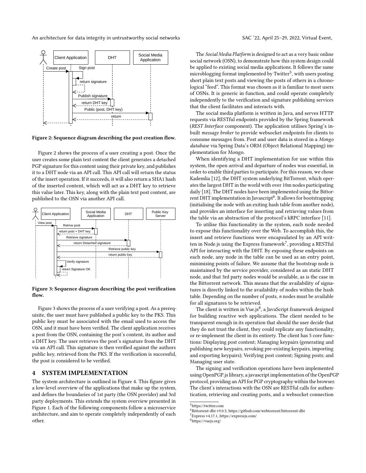An architecture for data integrity in untrustworthy social networks SAC '22, April 25–29, 2022, Virtual Event,

<span id="page-3-1"></span>

Figure 2: Sequence diagram describing the post creation flow.

Figure [2](#page-3-1) shows the process of a user creating a post. Once the user creates some plain text content the client generates a detached PGP signature for this content using their private key, and publishes it to a DHT node via an API call. This API call will return the status of the insert operation. If it succeeds, it will also return a SHA1 hash of the inserted content, which will act as a DHT key to retrieve this value later. This key, along with the plain text post content, are published to the OSN via another API call.

<span id="page-3-2"></span>

Figure 3: Sequence diagram describing the post verification flow.

Figure [3](#page-3-2) shows the process of a user verifying a post. As a prerequisite, the user must have published a public key to the PKS. This public key must be associated with the email used to access the OSN, and it must have been verified. The client application receives a post from the OSN, containing the post's content, its author and a DHT key. The user retrieves the post's signature from the DHT via an API call. This signature is then verified against the authors public key, retrieved from the PKS. If the verification is successful, the post is considered to be verified.

# <span id="page-3-0"></span>4 SYSTEM IMPLEMENTATION

The system architecture is outlined in Figure [4.](#page-4-0) This figure gives a low-level overview of the applications that make up the system, and defines the boundaries of 1st party (the OSN provider) and 3rd party deployments. This extends the system overview presented in Figure [1.](#page-2-4) Each of the following components follow a microservice architecture, and aim to operate completely independently of each other.

The Social Media Platform is designed to act as a very basic online social network (OSN), to demonstrate how this system design could be applied to existing social media applications. It follows the same microblogging format implemented by Twitter<sup>[5](#page-3-3)</sup>, with users posting short plain text posts and viewing the posts of others in a chronological "feed". This format was chosen as it is familiar to most users of OSNs. It is generic in function, and could operate completely independently to the verification and signature publishing services that the client facilitates and interacts with.

The social media platform is written in Java, and serves HTTP requests via RESTful endpoints provided by the Spring framework (REST Interface component). The application utilises Spring's inbuilt message broker to provide websocket endpoints for clients to consume messages from. Post and user data is stored in a Mongo database via Spring Data's ORM (Object Relational Mapping) implementation for Mongo.

When identifying a DHT implementation for use within this system, the open arrival and departure of nodes was essential, in order to enable third parties to participate. For this reason, we chose Kademlia [\[12\]](#page-8-16), the DHT system underlying BitTorrent, which operates the largest DHT in the world with over 10m nodes participating daily [\[18\]](#page-8-17). The DHT nodes have been implemented using the Bittor-rent DHT implementation in Javascript<sup>[6](#page-3-4)</sup>. It allows for bootstrapping (initialising the node with an exiting hash table from another node), and provides an interface for inserting and retrieving values from the table via an abstraction of the protocol's kRPC interface [\[11\]](#page-8-18).

To utilise this functionality in the system, each node needed to expose this functionality over the Web. To accomplish this, the insert and retrieve functions were encapsulated by an API written in Node.js using the Express framework $^7$  $^7$ , providing a RESTful API for interacting with the DHT. By exposing these endpoints on each node, any node in the table can be used as an entry point, minimising points of failure. We assume that the bootstrap node is maintained by the service provider, considered as an static DHT node, and that 3rd party nodes would be available, as is the case in the Bittorrent network. This means that the availability of signatures is directly linked to the availability of nodes within the hash table. Depending on the number of posts,  $n$  nodes must be available for all signatures to be retrieved.

The client is written in Vue.js<sup>[8](#page-3-6)</sup>, a JavaScript framework designed for building reactive web applications. The client needed to be transparent enough in its operation that should the user decide that they do not trust the client, they could replicate any functionality, or re-implement the client in its entirety. The client has 5 core functions: Displaying post content; Managing keypairs (generating and publishing new keypairs, revoking pre-existing keypairs, importing and exporting keypairs); Verifying post content; Signing posts; and Managing user state.

The signing and verification operations have been implemented using OpenPGP.js library, a javascript implementation of the OpenPGP protocol, providing an API for PGP cryptography within the browser. The client's interactions with the OSN are RESTful calls for authentication, retrieving and creating posts, and a websocket connection

<span id="page-3-3"></span><sup>5</sup><https://twitter.com>

<span id="page-3-5"></span><sup>7</sup>Express v4.17.1, https://expressjs.com/

<span id="page-3-6"></span><sup>8</sup>https://vuejs.org/

<span id="page-3-4"></span><sup>6</sup>Bittorrent-dht v9.0.3, https://github.com/webtorrent/bittorrent-dht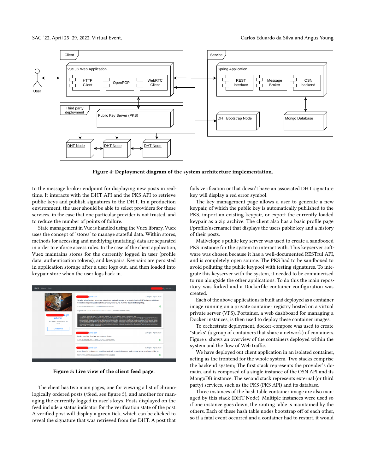<span id="page-4-0"></span>

Figure 4: Deployment diagram of the system architecture implementation.

to the message broker endpoint for displaying new posts in realtime. It interacts with the DHT API and the PKS API to retrieve public keys and publish signatures to the DHT. In a production environment, the user should be able to select providers for these services, in the case that one particular provider is not trusted, and to reduce the number of points of failure.

State management in Vue is handled using the Vuex library. Vuex uses the concept of 'stores' to manage stateful data. Within stores, methods for accessing and modifying (mutating) data are separated in order to enforce access rules. In the case of the client application, Vuex maintains stores for the currently logged in user (profile data, authentication tokens), and keypairs. Keypairs are persisted in application storage after a user logs out, and then loaded into keypair store when the user logs back in.

<span id="page-4-1"></span>

Figure 5: Live view of the client feed page.

The client has two main pages, one for viewing a list of chronologically ordered posts (/feed, see figure [5\)](#page-4-1), and another for managing the currently logged in user's keys. Posts displayed on the feed include a status indicator for the verification state of the post. A verified post will display a green tick, which can be clicked to reveal the signature that was retrieved from the DHT. A post that

fails verification or that doesn't have an associated DHT signature key will display a red error symbol.

The key management page allows a user to generate a new keypair, of which the public key is automatically published to the PKS, import an existing keypair, or export the currently loaded keypair as a zip archive. The client also has a basic profile page (/profile/username) that displays the users public key and a history of their posts.

Mailvelope's public key server was used to create a sandboxed PKS instance for the system to interact with. This keyserver software was chosen because it has a well-documented RESTful API, and is completely open source. The PKS had to be sandboxed to avoid polluting the public keypool with testing signatures. To integrate this keyserver with the system, it needed to be containerised to run alongside the other applications. To do this the main repository was forked and a Dockerfile container configuration was created.

Each of the above applications is built and deployed as a container image running on a private container registry hosted on a virtual private server (VPS). Portainer, a web dashboard for managing a Docker instances, is then used to deploy these container images.

To orchestrate deployment, docker-compose was used to create "stacks" (a group of containers that share a network) of containers. Figure [6](#page-5-1) shows an overview of the containers deployed within the system and the flow of Web traffic.

We have deployed out client application in an isolated container, acting as the frontend for the whole system. Two stacks comprise the backend system; The first stack represents the provider's domain, and is composed of a single instance of the OSN API and its MongoDB instance. The second stack represents external (or third party) services, such as the PKS (PKS API) and its database.

Three instances of the hash table container image are also managed by this stack (DHT Node). Multiple instances were used so if one instance goes down, the routing table is maintained by the others. Each of these hash table nodes bootstrap off of each other, so if a fatal event occurred and a container had to restart, it would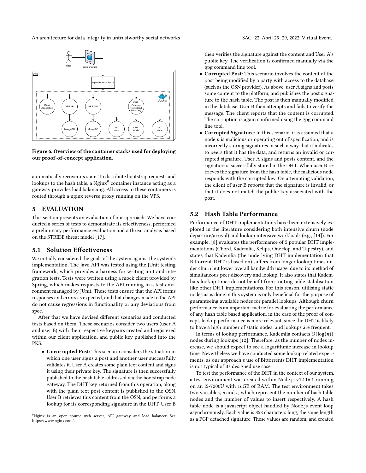An architecture for data integrity in untrustworthy social networks SAC '22, April 25-29, 2022, Virtual Event,

<span id="page-5-1"></span>

Figure 6: Overview of the container stacks used for deploying our proof-of-concept application.

automatically recover its state. To distribute bootstrap requests and lookups to the hash table, a  $\mathrm{Nginx}^9$  $\mathrm{Nginx}^9$  container instance acting as a gateway provides load balancing. All access to these containers is routed through a nginx reverse proxy running on the VPS.

# <span id="page-5-0"></span>5 EVALUATION

This section presents an evaluation of our approach. We have conducted a series of tests to demonstrate its effectiveness, performed a preliminary performance evaluation and a threat analysis based on the STRIDE threat model [\[17\]](#page-8-19).

## 5.1 Solution Effectiveness

We initially considered the goals of the system against the system's implementation. The Java API was tested using the JUnit testing framework, which provides a harness for writing unit and integration tests. Tests were written using a mock client provided by Spring, which makes requests to the API running in a test environment managed by JUnit. These tests ensure that the API forms responses and errors as expected, and that changes made to the API do not cause regressions in functionality or any deviations from spec.

After that we have devised different scenarios and conducted tests based on them. These scenarios consider two users (user A and user B) with their respective keypairs created and registered within our client application, and public key published into the **PKS** 

• Uncorrupted Post: This scenario considers the situation in which one user signs a post and another user successfully validates it. User A creates some plain text content and signs it using their private key. The signature is then successfully published to the hash table addressed via the bootstrap node gateway. The DHT key returned from this operation, along with the plain text post content is published to the OSN. User B retrieves this content from the OSN, and performs a lookup for its corresponding signature in the DHT. User B

then verifies the signature against the content and User A's

gpg command line tool. • Corrupted Post: This scenario involves the content of the post being modified by a party with access to the database (such as the OSN provider). As above, user A signs and posts some content to the platform, and publishes the post signature to the hash table. The post is then manually modified in the database. User B then attempts and fails to verify the message. The client reports that the content is corrupted. The corruption is again confirmed using the gpg command line tool.

public key. The verification is confirmed manually via the

• Corrupted Signature: In this scenario, it is assumed that a node  $n$  is malicious or operating out of specification, and is incorrectly storing signatures in such a way that it indicates to peers that it has the data, and returns an invalid or corrupted signature. User A signs and posts content, and the signature is successfully stored in the DHT. When user B retrieves the signature from the hash table, the malicious node responds with the corrupted key. On attempting validation, the client of user B reports that the signature is invalid, or that it does not match the public key associated with the post.

### 5.2 Hash Table Performance

Performance of DHT implementations have been extensively explored in the literature considering both intensive churn (node departure/arrival) and lookup intensive workloads (e.g., [\[14\]](#page-8-20)). For example, [\[8\]](#page-8-21) evaluates the performance of 5 popular DHT implementations (Chord, Kademlia, Kelips, OneHop. and Tapestry), and states that Kademlia (the underlying DHT implementation that Bittorrent-DHT is based on) suffers from longer lookup times under churn but lower overall bandwidth usage, due to its method of simultaneous peer discovery and lookup. It also states that Kademlia's lookup times do not benefit from routing table stabilisation like other DHT implementations. For this reason, utilising static nodes as is done in this system is only beneficial for the purpose of guaranteeing available nodes for parallel lookups. Although churn performance is an important metric for evaluating the performance of any hash table based application, in the case of the proof of concept, lookup performance is more relevant, since the DHT is likely to have a high number of static nodes, and lookups are frequent.

In terms of lookup performance, Kademlia contacts  $O(log(n))$ nodes during lookups [\[12\]](#page-8-16). Therefore, as the number of nodes increase, we should expect to see a logarithmic increase in lookup time. Nevertheless we have conducted some lookup related experiments, as our approach's use of Bittorrents DHT implementation is not typical of its designed use case.

To test the performance of the DHT in the context of our system, a test environment was created within Node.js v12.16.1 running on an i5-7200U with 16GB of RAM. The test environment takes two variables, n and c, which represent the number of hash table nodes and the number of values to insert respectively. A hash table node is a javascript object handled by Node.js event loop asynchronously. Each value is 858 characters long, the same length as a PGP detached signature. These values are random, and created

<span id="page-5-2"></span><sup>&</sup>lt;sup>9</sup>Nginx is an open source web server, API gateway and load balancer. See https://www.nginx.com/.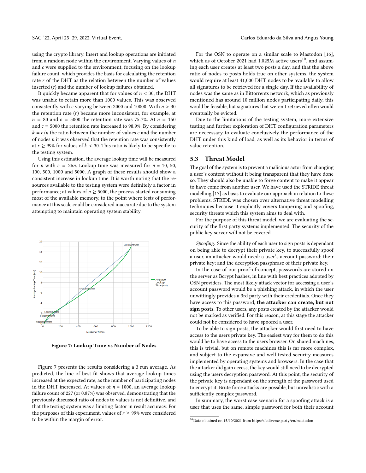using the crypto library. Insert and lookup operations are initiated from a random node within the environment. Varying values of  $n$ and c were supplied to the environment, focusing on the lookup failure count, which provides the basis for calculating the retention rate  $r$  of the DHT as the relation between the number of values inserted  $(c)$  and the number of lookup failures obtained.

It quickly became apparent that for values of  $n < 30$ , the DHT was unable to retain more than 1000 values. This was observed consistently with  $c$  varying between 2000 and 10000. With  $n > 30$ the retention rate  $(r)$  became more inconsistent, for example, at  $n = 80$  and  $c = 5000$  the retention rate was 75.7%. At  $n = 150$ and  $c = 5000$  the retention rate increased to 98.9%. By considering  $k = c/n$  the ratio between the number of values c and the number of nodes  $n$  it was observed that the retention rate was consistently at  $r \geq 99\%$  for values of  $k < 30$ . This ratio is likely to be specific to the testing system.

Using this estimation, the average lookup time will be measured for *n* with  $c = 26n$ . Lookup time was measured for  $n = 10, 50$ , 100, 500, 1000 and 5000. A graph of these results should show a consistent increase in lookup time. It is worth noting that the resources available to the testing system were definitely a factor in performance; at values of  $n \geq 5000$ , the process started consuming most of the available memory, to the point where tests of performance at this scale could be considered inaccurate due to the system attempting to maintain operating system stability.

<span id="page-6-0"></span>

Figure 7: Lookup Time vs Number of Nodes

Figure [7](#page-6-0) presents the results considering a 3 run average. As predicted, the line of best fit shows that average lookup times increased at the expected rate, as the number of participating nodes in the DHT increased. At values of  $n = 1000$ , an average lookup failure count of 227 (or 0.87%) was observed, demonstrating that the previously discussed ratio of nodes to values is not definitive, and that the testing system was a limiting factor in result accuracy. For the purposes of this experiment, values of  $r \geq 99\%$  were considered to be within the margin of error.

For the OSN to operate on a similar scale to Mastodon [\[16\]](#page-8-10), which as of October 2021 had 1.025M active users<sup>[10](#page-6-1)</sup>, and assuming each user creates at least two posts a day, and that the above ratio of nodes to posts holds true on other systems, the system would require at least 41,000 DHT nodes to be available to allow all signatures to be retrieved for a single day. If the availability of nodes was the same as in Bittorrents network, which as previously mentioned has around 10 million nodes participating daily, this would be feasible, but signatures that weren't retrieved often would eventually be evicted.

Due to the limitations of the testing system, more extensive testing and further exploration of DHT configuration parameters are neccessary to evaluate conclusively the performance of the DHT under this kind of load, as well as its behavior in terms of value retention.

#### 5.3 Threat Model

The goal of the system is to prevent a malicious actor from changing a user's content without it being transparent that they have done so. They should also be unable to forge content to make it appear to have come from another user. We have used the STRIDE threat modelling [\[17\]](#page-8-19) as basis to evaluate our approach in relation to these problems. STRIDE was chosen over alternative threat modelling techniques because it explicitly covers tampering and spoofing, security threats which this system aims to deal with.

For the purpose of this threat model, we are evaluating the security of the first party systems implemented. The security of the public key server will not be covered.

Spoofing. Since the ability of each user to sign posts is dependant on being able to decrypt their private key, to successfully spoof a user, an attacker would need: a user's account password; their private key; and the decryption passphrase of their private key.

In the case of our proof-of-concept, passwords are stored on the server as Bcrypt hashes, in line with best practices adopted by OSN providers. The most likely attack vector for accessing a user's account password would be a phishing attack, in which the user unwittingly provides a 3rd party with their credentials. Once they have access to this password, the attacker can create, but not sign posts. To other users, any posts created by the attacker would not be marked as verified. For this reason, at this stage the attacker could not be considered to have spoofed a user.

To be able to sign posts, the attacker would first need to have access to the users private key. The easiest way for them to do this would be to have access to the users browser. On shared machines, this is trivial, but on remote machines this is far more complex, and subject to the expansive and well tested security measures implemented by operating systems and browsers. In the case that the attacker did gain access, the key would still need to be decrypted using the users decryption password. At this point, the security of the private key is dependant on the strength of the password used to encrypt it. Brute force attacks are possible, but unrealistic with a sufficiently complex password.

In summary, the worst case scenario for a spoofing attack is a user that uses the same, simple password for both their account

<span id="page-6-1"></span> $^{10}$ Data obtained on 15/10/2021 from<https://fediverse.party/en/mastodon>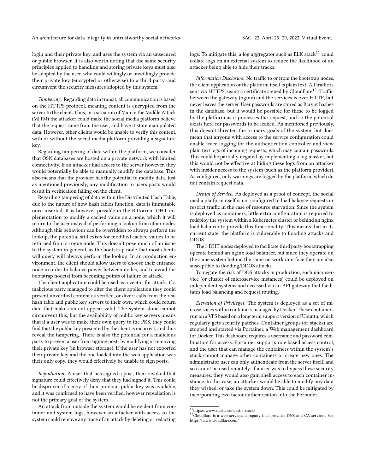#### An architecture for data integrity in untrustworthy social networks SAC '22, April 25-29, 2022, Virtual Event,

login and their private key, and uses the system via an unsecured or public browser. It is also worth noting that the same security principles applied to handling and storing private keys must also be adopted by the user, who could willingly or unwillingly provide their private key (encrypted or otherwise) to a third party, and circumvent the security measures adopted by this system.

Tampering. Regarding data in transit, all communication is based on the HTTPS protocol, meaning content is encrypted from the server to the client. Thus, in a situation of Man in the Middle Attack (MITM) the attacker could make the social media platform believe that the request came from the user, and have it store manipulated data. However, other clients would be unable to verify this content, with or without the social media platform providing a signature key.

Regarding tampering of data within the platform, we consider that OSN databases are hosted on a private network with limited connectivity. If an attacker had access to the server however, they would potentially be able to manually modify the database. This also means that the provider has the potential to modify data. Just as mentioned previously, any modification to users posts would result in verification failing on the client.

Regarding tampering of data within the Distributed Hash Table, due to the nature of how hash tables function, data is immutable once inserted. It is however possible in the Bittorrent DHT implementation to modify a cached value on a node, which it will return to the user instead of performing a lookup from other nodes. Although this behaviour can be overridden to always perform the lookup, the potential still exists for modified cached values to be returned from a rogue node. This doesn't pose much of an issue to the system in general, as the bootstrap node that most clients will query will always perform the lookup. In an production environment, the client should allow users to choose their entrance node in order to balance power between nodes, and to avoid the bootstrap node(s) from becoming points of failure or attack.

The client application could be used as a vector for attack. If a malicious party managed to alter the client application they could present unverified content as verified, or divert calls from the real hash table and public key servers to their own, which could return data that make content appear valid. The system alone cannot circumvent this, but the availability of public key servers means that if a user was to make their own query to the PKS, they could find that the public key presented by the client is incorrect, and thus reveal the tampering. There is also the potential for a malicious party to prevent a user from signing posts by modifying or removing their private key (in browser storage). If the user has not exported their private key and the one loaded into the web application was their only copy, they would effectively be unable to sign posts.

Repudiation. A user that has signed a post, then revoked that signature could effectively deny that they had signed it. This could be disproven if a copy of their previous public key was available, and it was confirmed to have been verified, however repudiation is not the primary goal of the system.

An attack from outside the system would be evident from container and system logs, however an attacker with access to the system could remove any trace of an attack by deleting or redacting

logs. To mitigate this, a log aggregator such as ELK stack $11$  could collate logs on an external system to reduce the likelihood of an attacker being able to hide their tracks.

Information Disclosure. No traffic to or from the bootstrap nodes, the client application or the platform itself is plain text. All traffic is sent via HTTPS, using a certificate signed by Cloudflare<sup>[12](#page-7-1)</sup>. Traffic between the gateway (nginx) and the services is over HTTP, but never leaves the server. User passwords are stored as Bcrypt hashes in the database, but it would be possible for these to be logged by the platform as it processes the request, and so the potential exists here for passwords to be leaked. As mentioned previously, this doesn't threaten the primary goals of the system, but does mean that anyone with access to the service configuration could enable trace logging for the authentication controller and view plain text logs of incoming requests, which may contain passwords. This could be partially negated by implementing a log masker, but this would not be effective at hiding these logs from an attacker with insider access to the system (such as the platform provider). As configured, only warnings are logged by the platform, which do not contain request data.

Denial of Service. As deployed as a proof of concept, the social media platform itself is not configured to load balance requests or restrict traffic in the case of resource starvation. Since the system is deployed as containers, little extra configuration is required to redeploy the system within a Kubernetes cluster or behind an nginx load balancer to provide this functionality. This means that in its current state, the platform is vulnerable to flooding attacks and DDOS.

The 3 DHT nodes deployed to facilitate third party bootstrapping operate behind an nginx load balancer, but since they operate on the same system behind the same network interface they are also susceptible to flooding/DDOS attacks.

To negate the risk of DOS attacks in production, each microservice (or cluster of microservice instances) could be deployed on independent systems and accessed via an API gateway that facilitates load balancing and request routing.

Elevation of Privileges. The system is deployed as a set of microservices within containers managed by Docker. These containers run on a VPS based on a long term support version of Ubuntu, which regularly gets security patches. Container groups (or stacks) are stopped and started via Portainer, a Web management dashboard for Docker. This dashboard requires a username and password combination for access. Portainer supports role based access control, and the user that can manage the containers within the system's stack cannot manage other containers or create new ones. The administrator user can only authenticate from the server itself, and so cannot be used remotely. If a user was to bypass these security measures, they would also gain shell access to each container instance. In this case, an attacker would be able to modify any data they wished, or take the system down. This could be mitigated by incorporating two factor authentication into the Portainer.

<span id="page-7-0"></span> $\overline{^{11}}$ <https://www.elastic.co/elastic-stack/>

<span id="page-7-1"></span> $12$ Cloudflare is a web services company that provides DNS and CA services. See https://www.cloudflare.com/